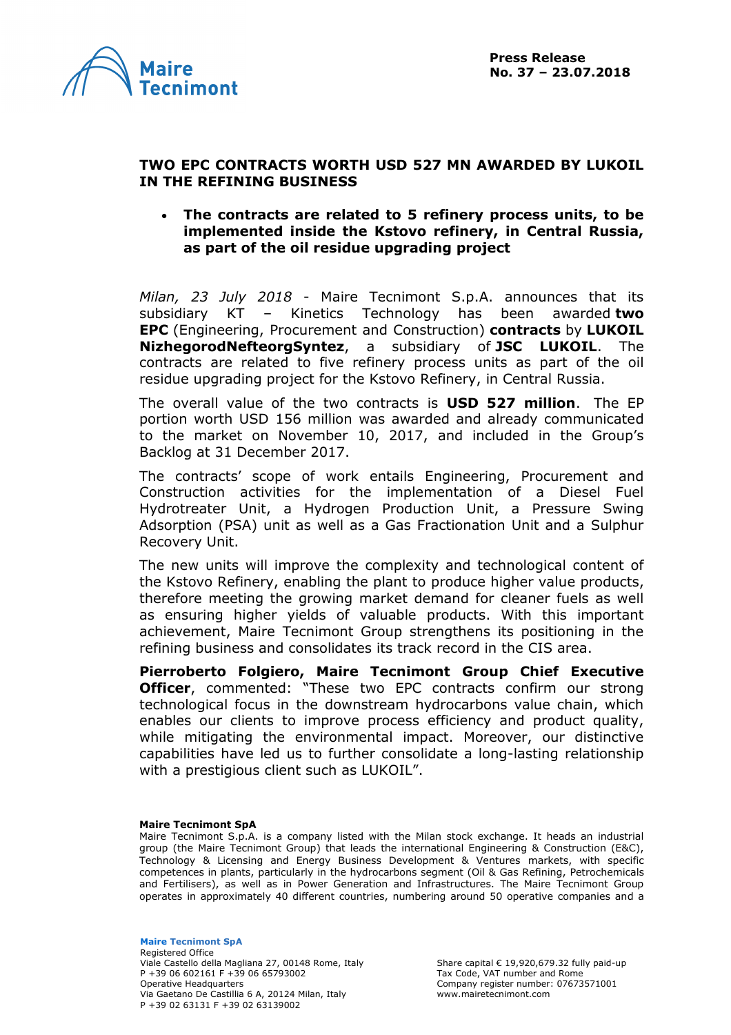



## **TWO EPC CONTRACTS WORTH USD 527 MN AWARDED BY LUKOIL IN THE REFINING BUSINESS**

## • **The contracts are related to 5 refinery process units, to be implemented inside the Kstovo refinery, in Central Russia, as part of the oil residue upgrading project**

*Milan, 23 July 2018* - Maire Tecnimont S.p.A. announces that its subsidiary KT – Kinetics Technology has been awarded **two EPC** (Engineering, Procurement and Construction) **contracts** by **LUKOIL NizhegorodNefteorgSyntez**, a subsidiary of **JSC LUKOIL**. The contracts are related to five refinery process units as part of the oil residue upgrading project for the Kstovo Refinery, in Central Russia.

The overall value of the two contracts is **USD 527 million**. The EP portion worth USD 156 million was awarded and already communicated to the market on November 10, 2017, and included in the Group's Backlog at 31 December 2017.

The contracts' scope of work entails Engineering, Procurement and Construction activities for the implementation of a Diesel Fuel Hydrotreater Unit, a Hydrogen Production Unit, a Pressure Swing Adsorption (PSA) unit as well as a Gas Fractionation Unit and a Sulphur Recovery Unit.

The new units will improve the complexity and technological content of the Kstovo Refinery, enabling the plant to produce higher value products, therefore meeting the growing market demand for cleaner fuels as well as ensuring higher yields of valuable products. With this important achievement, Maire Tecnimont Group strengthens its positioning in the refining business and consolidates its track record in the CIS area.

**Pierroberto Folgiero, Maire Tecnimont Group Chief Executive Officer**, commented: "These two EPC contracts confirm our strong technological focus in the downstream hydrocarbons value chain, which enables our clients to improve process efficiency and product quality, while mitigating the environmental impact. Moreover, our distinctive capabilities have led us to further consolidate a long-lasting relationship with a prestigious client such as LUKOIL".

## **Maire Tecnimont SpA**

Maire Tecnimont S.p.A. is a company listed with the Milan stock exchange. It heads an industrial group (the Maire Tecnimont Group) that leads the international Engineering & Construction (E&C), Technology & Licensing and Energy Business Development & Ventures markets, with specific competences in plants, particularly in the hydrocarbons segment (Oil & Gas Refining, Petrochemicals and Fertilisers), as well as in Power Generation and Infrastructures. The Maire Tecnimont Group operates in approximately 40 different countries, numbering around 50 operative companies and a